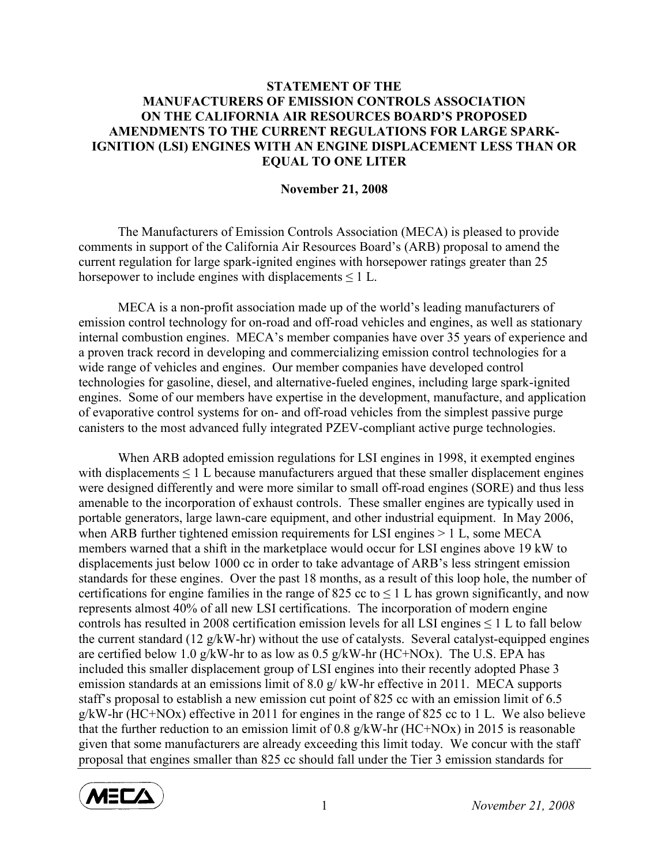## STATEMENT OF THE MANUFACTURERS OF EMISSION CONTROLS ASSOCIATION ON THE CALIFORNIA AIR RESOURCES BOARD'S PROPOSED AMENDMENTS TO THE CURRENT REGULATIONS FOR LARGE SPARK-IGNITION (LSI) ENGINES WITH AN ENGINE DISPLACEMENT LESS THAN OR EQUAL TO ONE LITER

## November 21, 2008

 The Manufacturers of Emission Controls Association (MECA) is pleased to provide comments in support of the California Air Resources Board's (ARB) proposal to amend the current regulation for large spark-ignited engines with horsepower ratings greater than 25 horsepower to include engines with displacements  $\leq 1$  L.

MECA is a non-profit association made up of the world's leading manufacturers of emission control technology for on-road and off-road vehicles and engines, as well as stationary internal combustion engines. MECA's member companies have over 35 years of experience and a proven track record in developing and commercializing emission control technologies for a wide range of vehicles and engines. Our member companies have developed control technologies for gasoline, diesel, and alternative-fueled engines, including large spark-ignited engines. Some of our members have expertise in the development, manufacture, and application of evaporative control systems for on- and off-road vehicles from the simplest passive purge canisters to the most advanced fully integrated PZEV-compliant active purge technologies.

When ARB adopted emission regulations for LSI engines in 1998, it exempted engines with displacements  $\leq 1$  L because manufacturers argued that these smaller displacement engines were designed differently and were more similar to small off-road engines (SORE) and thus less amenable to the incorporation of exhaust controls. These smaller engines are typically used in portable generators, large lawn-care equipment, and other industrial equipment. In May 2006, when ARB further tightened emission requirements for LSI engines  $> 1$  L, some MECA members warned that a shift in the marketplace would occur for LSI engines above 19 kW to displacements just below 1000 cc in order to take advantage of ARB's less stringent emission standards for these engines. Over the past 18 months, as a result of this loop hole, the number of certifications for engine families in the range of 825 cc to  $\leq 1$  L has grown significantly, and now represents almost 40% of all new LSI certifications. The incorporation of modern engine controls has resulted in 2008 certification emission levels for all LSI engines  $\leq 1$  L to fall below the current standard (12 g/kW-hr) without the use of catalysts. Several catalyst-equipped engines are certified below 1.0 g/kW-hr to as low as  $0.5$  g/kW-hr (HC+NOx). The U.S. EPA has included this smaller displacement group of LSI engines into their recently adopted Phase 3 emission standards at an emissions limit of 8.0 g/ kW-hr effective in 2011. MECA supports staff's proposal to establish a new emission cut point of 825 cc with an emission limit of 6.5 g/kW-hr (HC+NOx) effective in 2011 for engines in the range of 825 cc to 1 L. We also believe that the further reduction to an emission limit of 0.8  $g/kW$ -hr (HC+NOx) in 2015 is reasonable given that some manufacturers are already exceeding this limit today. We concur with the staff proposal that engines smaller than 825 cc should fall under the Tier 3 emission standards for



1 November 21, 2008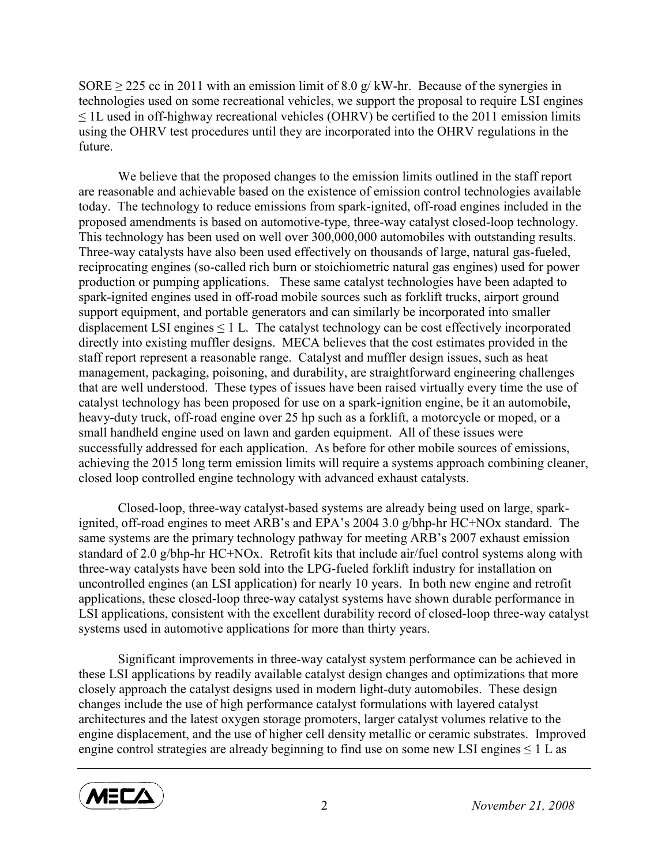SORE  $>$  225 cc in 2011 with an emission limit of 8.0 g/ kW-hr. Because of the synergies in technologies used on some recreational vehicles, we support the proposal to require LSI engines  $\leq$  1L used in off-highway recreational vehicles (OHRV) be certified to the 2011 emission limits using the OHRV test procedures until they are incorporated into the OHRV regulations in the future.

We believe that the proposed changes to the emission limits outlined in the staff report are reasonable and achievable based on the existence of emission control technologies available today. The technology to reduce emissions from spark-ignited, off-road engines included in the proposed amendments is based on automotive-type, three-way catalyst closed-loop technology. This technology has been used on well over 300,000,000 automobiles with outstanding results. Three-way catalysts have also been used effectively on thousands of large, natural gas-fueled, reciprocating engines (so-called rich burn or stoichiometric natural gas engines) used for power production or pumping applications. These same catalyst technologies have been adapted to spark-ignited engines used in off-road mobile sources such as forklift trucks, airport ground support equipment, and portable generators and can similarly be incorporated into smaller displacement LSI engines  $\leq 1$  L. The catalyst technology can be cost effectively incorporated directly into existing muffler designs. MECA believes that the cost estimates provided in the staff report represent a reasonable range. Catalyst and muffler design issues, such as heat management, packaging, poisoning, and durability, are straightforward engineering challenges that are well understood. These types of issues have been raised virtually every time the use of catalyst technology has been proposed for use on a spark-ignition engine, be it an automobile, heavy-duty truck, off-road engine over 25 hp such as a forklift, a motorcycle or moped, or a small handheld engine used on lawn and garden equipment. All of these issues were successfully addressed for each application. As before for other mobile sources of emissions, achieving the 2015 long term emission limits will require a systems approach combining cleaner, closed loop controlled engine technology with advanced exhaust catalysts.

Closed-loop, three-way catalyst-based systems are already being used on large, sparkignited, off-road engines to meet ARB's and EPA's 2004 3.0 g/bhp-hr HC+NOx standard. The same systems are the primary technology pathway for meeting ARB's 2007 exhaust emission standard of 2.0 g/bhp-hr HC+NOx. Retrofit kits that include air/fuel control systems along with three-way catalysts have been sold into the LPG-fueled forklift industry for installation on uncontrolled engines (an LSI application) for nearly 10 years. In both new engine and retrofit applications, these closed-loop three-way catalyst systems have shown durable performance in LSI applications, consistent with the excellent durability record of closed-loop three-way catalyst systems used in automotive applications for more than thirty years.

Significant improvements in three-way catalyst system performance can be achieved in these LSI applications by readily available catalyst design changes and optimizations that more closely approach the catalyst designs used in modern light-duty automobiles. These design changes include the use of high performance catalyst formulations with layered catalyst architectures and the latest oxygen storage promoters, larger catalyst volumes relative to the engine displacement, and the use of higher cell density metallic or ceramic substrates. Improved engine control strategies are already beginning to find use on some new LSI engines  $\leq 1$  L as